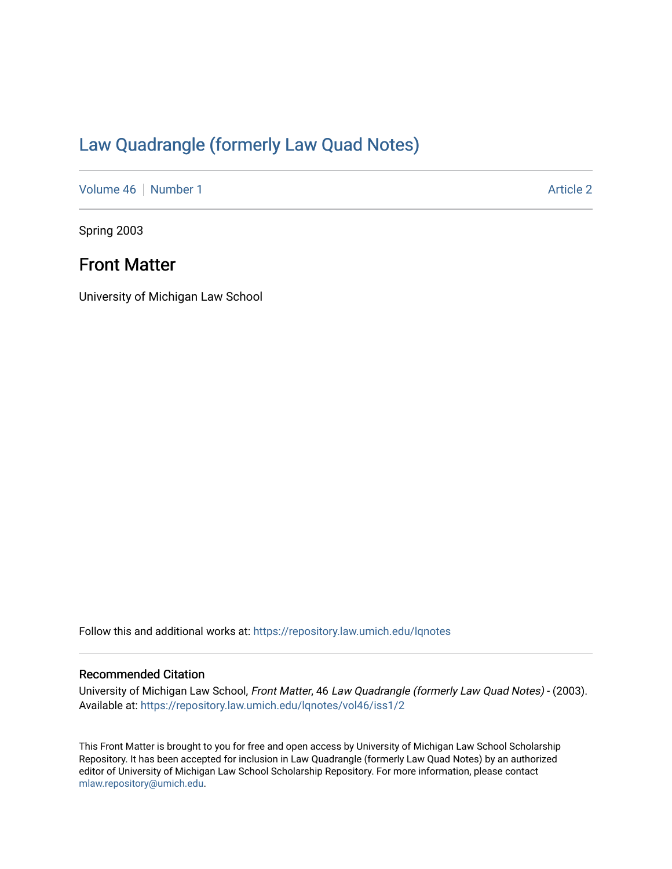## [Law Quadrangle \(formerly Law Quad Notes\)](https://repository.law.umich.edu/lqnotes)

[Volume 46](https://repository.law.umich.edu/lqnotes/vol46) [Number 1](https://repository.law.umich.edu/lqnotes/vol46/iss1) [Article 2](https://repository.law.umich.edu/lqnotes/vol46/iss1/2) Article 2

Spring 2003

## Front Matter

University of Michigan Law School

Follow this and additional works at: [https://repository.law.umich.edu/lqnotes](https://repository.law.umich.edu/lqnotes?utm_source=repository.law.umich.edu%2Flqnotes%2Fvol46%2Fiss1%2F2&utm_medium=PDF&utm_campaign=PDFCoverPages) 

#### Recommended Citation

University of Michigan Law School, Front Matter, 46 Law Quadrangle (formerly Law Quad Notes) - (2003). Available at: [https://repository.law.umich.edu/lqnotes/vol46/iss1/2](https://repository.law.umich.edu/lqnotes/vol46/iss1/2?utm_source=repository.law.umich.edu%2Flqnotes%2Fvol46%2Fiss1%2F2&utm_medium=PDF&utm_campaign=PDFCoverPages) 

This Front Matter is brought to you for free and open access by University of Michigan Law School Scholarship Repository. It has been accepted for inclusion in Law Quadrangle (formerly Law Quad Notes) by an authorized editor of University of Michigan Law School Scholarship Repository. For more information, please contact [mlaw.repository@umich.edu.](mailto:mlaw.repository@umich.edu)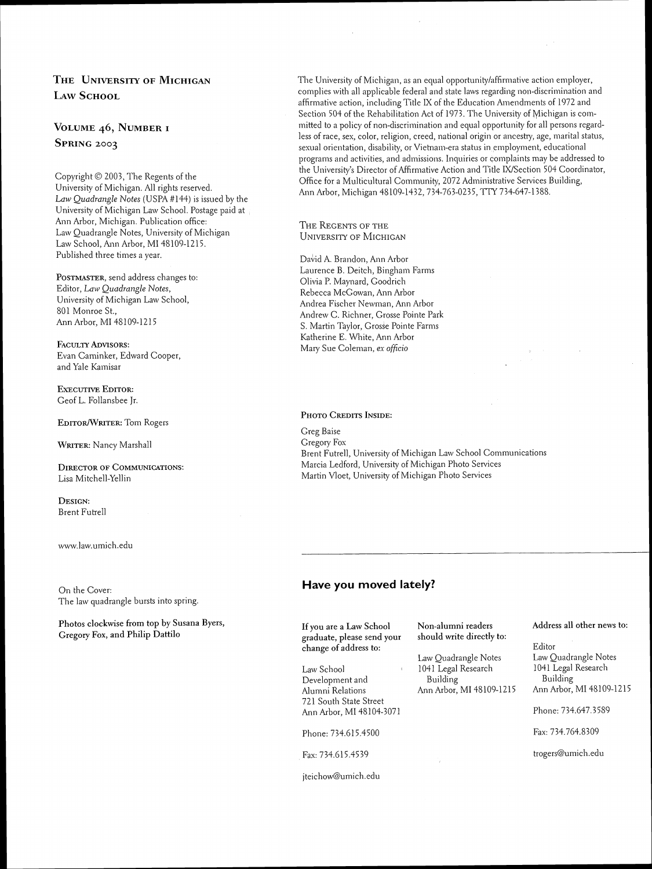### THE UNIVERSITY OF MICHIGAN LAW SCHOOL

#### VOLUME 46, NUMBER I SPRING 2003

Copyright  $©$  2003, The Regents of the University of Michigan. All rights reserved. Law Quadrangle Notes (USPA #144) is issued by the University of Michigan Law School. Postage paid at Ann Arbor, Michigan. Publication office: Law Quadrangle Notes, University of Michigan Law School, Ann Arbor, MI 48109-1215. Published three times a year.

POSTMASTER, send address changes to: Editor, Law Quadrangle Notes, University of Michigan Law School, 801 Monroe St., Ann Arbor. MI 48109-1215

FACULTY ADVISORS: Evan Caminker, Edward Cooper, and Yale Kamisar

EXECUTIVE EDITOR: Geof L. Follansbee Jr.

EDITOR/WRITER: Tom Rogers

WRITER: Nancy Marshall

DIRECTOR OF COMMUNICATIONS: Lisa Mitchell-Yellin

DESIGN: Brent Futrell

www.law.umich.edu

On the Cover: The law quadrangle bursts into spring.

Photos clockwise from top by Susana Byers, Gregory FOX, and Philip Dattilo

The University of Michigan, as an equal opportunity/affirmative action employer, complies with all applicable federal and state laws regarding non-discrimination and affirmative action, including Title IX of the Education Amendments of 1972 and Section 504 of the Rehabilitation Act of 1973. The University of Michigan is committed to a policy of non-discrimination and equal opportunity for all persons regardless of race, sex, color, religion, creed, national origin or ancestry, age, marital status, sexual orientation, disability, or Vietnam-era status in employment, educational programs and activities, and admissions. Inquiries or coniplaints may be addressed lo the University's Director of Affirmative Action and Title IX/Section 504 Coordinator, Office for a Multicultural Community, 2072 Administrative Services Building, Ann Arbor, Michigan 48109-1432, 734-763-0235, TTY 734-647-1388.

THE REGENTS OF THE **UNIVERSITY OF MICHIGAN** 

David A. Brandon, Ann Arbor Laurence B. Deitch, Bingham Farms Olivia P. Maynard, Goodrich Rebecca McGowan, Ann Arbor Andrea Fischer Newman, Ann Arbor Andrew C. Richner, Grosse Pointe Park S. Martin Taylor, Grosse Pointe Farms Katherine E. White, Ann Arbor Mary Sue Coleman, ex officio

#### PHOTO CREDITS INSIDE:

Greg Baise Gregory Fos Brent Futrell, University of Michigan Law School Communications Marcia Ledford, University of Michigan Photo Services Martin Vloet, University of Michigan Photo Services

#### **Have you moved lately?**

If you are a Law School graduate, please send your change of address to:

Law School Development and Alumni Relations 721 South State Street Ann Arbor, MI 48 104-307 1

Phone: 734.615.4500 Fax: 734.764.8309

Fax: 734.615.4539

jteichow@umich.edu

should write directly to:

1041 Legal Research 1041 Legal<br>Building Building Building<br>Ann Arbor, MI 48109-1215

Non-alumni readers Address all other news to:

Editor Law Quadrangle Notes Law Quadrangle Notes<br>1041 Legal Research 1041 Legal Research Ann Arbor, MI 48109-1215

Phone: 734.647.3589

trogers@umich.edu